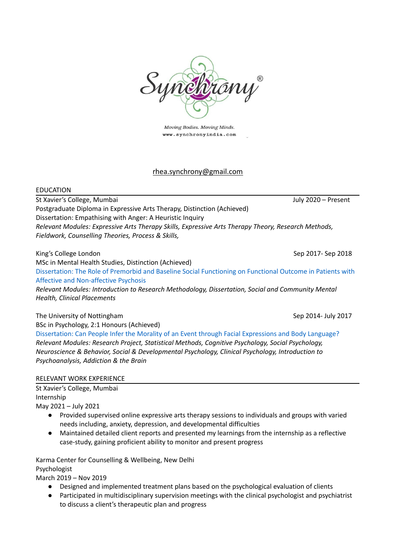

Moving Bodies. Moving Minds. www.synchronyindia.com

## rhea.synchrony@gmail.com

## EDUCATION

St Xavier's College, Mumbai July 2020 – Present Postgraduate Diploma in Expressive Arts Therapy, Distinction (Achieved) Dissertation: Empathising with Anger: A Heuristic Inquiry *Relevant Modules: Expressive Arts Therapy Skills, Expressive Arts Therapy Theory, Research Methods, Fieldwork, Counselling Theories, Process & Skills,*

King's College London **Sep 2018** Sep 2017- Sep 2018

MSc in Mental Health Studies, Distinction (Achieved) [Dissertation:](https://dl.orangedox.com/b3RbBsYJ7M3GDIz0dn) The Role of Premorbid and Baseline Social Functioning on Functional Outcome in Patients with Affective and [Non-affective](https://dl.orangedox.com/b3RbBsYJ7M3GDIz0dn) Psychosis

*Relevant Modules: Introduction to Research Methodology, Dissertation, Social and Community Mental Health, Clinical Placements*

The University of Nottingham Sep 2014- July 2017

BSc in Psychology, 2:1 Honours (Achieved)

[Dissertation:](https://dl.orangedox.com/N29bDgzigxe8ryCL0j) Can People Infer the Morality of an Event through Facial Expressions and Body Language? *Relevant Modules: Research Project, Statistical Methods, Cognitive Psychology, Social Psychology, Neuroscience & Behavior, Social & Developmental Psychology, Clinical Psychology, Introduction to Psychoanalysis, Addiction & the Brain*

## RELEVANT WORK EXPERIENCE

St Xavier's College, Mumbai Internship

May 2021 – July 2021

- Provided supervised online expressive arts therapy sessions to individuals and groups with varied needs including, anxiety, depression, and developmental difficulties
- Maintained detailed client reports and presented my learnings from the internship as a reflective case-study, gaining proficient ability to monitor and present progress

Karma Center for Counselling & Wellbeing, New Delhi Psychologist

March 2019 – Nov 2019

- *●* Designed and implemented treatment plans based on the psychological evaluation of clients
- *●* Participated in multidisciplinary supervision meetings with the clinical psychologist and psychiatrist to discuss a client's therapeutic plan and progress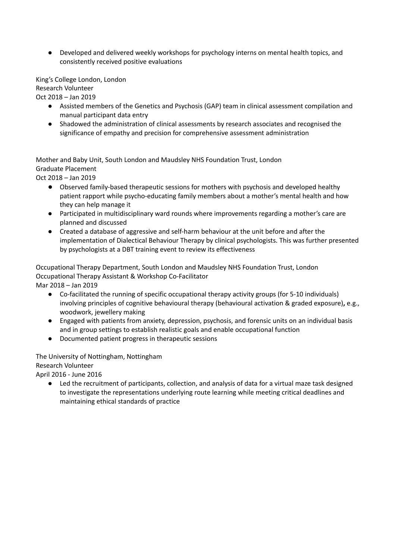● Developed and delivered weekly workshops for psychology interns on mental health topics, and consistently received positive evaluations

King's College London, London Research Volunteer

Oct 2018 – Jan 2019

- Assisted members of the Genetics and Psychosis (GAP) team in clinical assessment compilation and manual participant data entry
- **●** Shadowed the administration of clinical assessments by research associates and recognised the significance of empathy and precision for comprehensive assessment administration

Mother and Baby Unit, South London and Maudsley NHS Foundation Trust, London Graduate Placement

Oct 2018 – Jan 2019

- Observed family-based therapeutic sessions for mothers with psychosis and developed healthy patient rapport while psycho-educating family members about a mother's mental health and how they can help manage it
- Participated in multidisciplinary ward rounds where improvements regarding a mother's care are planned and discussed
- Created a database of aggressive and self-harm behaviour at the unit before and after the implementation of Dialectical Behaviour Therapy by clinical psychologists. This was further presented by psychologists at a DBT training event to review its effectiveness

Occupational Therapy Department, South London and Maudsley NHS Foundation Trust, London Occupational Therapy Assistant & Workshop Co-Facilitator

Mar 2018 – Jan 2019

- Co-facilitated the running of specific occupational therapy activity groups (for 5-10 individuals) involving principles of cognitive behavioural therapy (behavioural activation & graded exposure)**,** e.g., woodwork, jewellery making
- Engaged with patients from anxiety, depression, psychosis, and forensic units on an individual basis and in group settings to establish realistic goals and enable occupational function
- **●** Documented patient progress in therapeutic sessions

The University of Nottingham, Nottingham Research Volunteer

April 2016 - June 2016

● Led the recruitment of participants, collection, and analysis of data for a virtual maze task designed to investigate the representations underlying route learning while meeting critical deadlines and maintaining ethical standards of practice